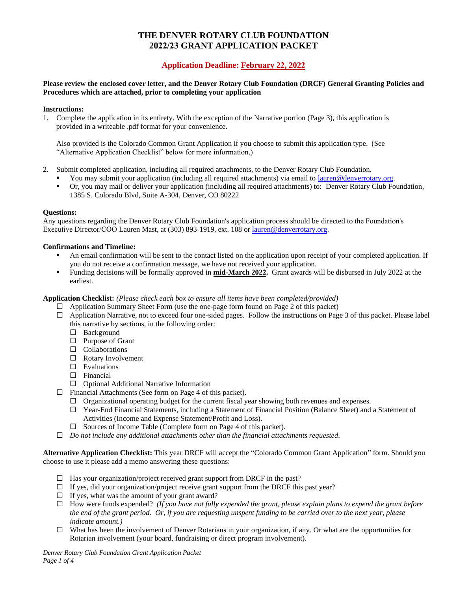# **THE DENVER ROTARY CLUB FOUNDATION 2022/23 GRANT APPLICATION PACKET**

# **Application Deadline: February 22, 2022**

#### **Please review the enclosed cover letter, and the Denver Rotary Club Foundation (DRCF) General Granting Policies and Procedures which are attached, prior to completing your application**

#### **Instructions:**

1. Complete the application in its entirety. With the exception of the Narrative portion (Page 3), this application is provided in a writeable .pdf format for your convenience.

Also provided is the Colorado Common Grant Application if you choose to submit this application type. (See "Alternative Application Checklist" below for more information.)

- 2. Submit completed application, including all required attachments, to the Denver Rotary Club Foundation.
	- You may submit your application (including all required attachments) via email to [lauren@denverrotary.org.](mailto:lauren@denverrotary.org)
	- Or, you may mail or deliver your application (including all required attachments) to: Denver Rotary Club Foundation, 1385 S. Colorado Blvd, Suite A-304, Denver, CO 80222

#### **Questions:**

Any questions regarding the Denver Rotary Club Foundation's application process should be directed to the Foundation's Executive Director/COO Lauren Mast, at (303) 893-1919, ext. 108 or [lauren@denverrotary.org.](mailto:lauren@denverrotary.org)

#### **Confirmations and Timeline:**

- An email confirmation will be sent to the contact listed on the application upon receipt of your completed application. If you do not receive a confirmation message, we have not received your application.
- Funding decisions will be formally approved in **mid-March 2022**. Grant awards will be disbursed in July 2022 at the earliest.

#### **Application Checklist:** *(Please check each box to ensure all items have been completed/provided)*

- $\Box$  Application Summary Sheet Form (use the one-page form found on Page 2 of this packet)
- $\Box$  Application Narrative, not to exceed four one-sided pages. Follow the instructions on Page 3 of this packet. Please label this narrative by sections, in the following order:
	- □ Background
	- $\Box$  Purpose of Grant
	- $\Box$  Collaborations
	- □ Rotary Involvement
	- $\square$  Evaluations
	- Financial
	- $\Box$  Optional Additional Narrative Information
- $\Box$  Financial Attachments (See form on Page 4 of this packet).
	- $\Box$  Organizational operating budget for the current fiscal year showing both revenues and expenses.
	- Year-End Financial Statements, including a Statement of Financial Position (Balance Sheet) and a Statement of Activities (Income and Expense Statement/Profit and Loss).
	- $\Box$  Sources of Income Table (Complete form on Page 4 of this packet).
- *Do not include any additional attachments other than the financial attachments requested.*

**Alternative Application Checklist:** This year DRCF will accept the "Colorado Common Grant Application" form. Should you choose to use it please add a memo answering these questions:

- $\Box$  Has your organization/project received grant support from DRCF in the past?
- $\Box$  If yes, did your organization/project receive grant support from the DRCF this past year?
- $\Box$  If yes, what was the amount of your grant award?
- How were funds expended? *(If you have not fully expended the grant, please explain plans to expend the grant before the end of the grant period. Or, if you are requesting unspent funding to be carried over to the next year, please indicate amount.)*
- $\Box$  What has been the involvement of Denver Rotarians in your organization, if any. Or what are the opportunities for Rotarian involvement (your board, fundraising or direct program involvement).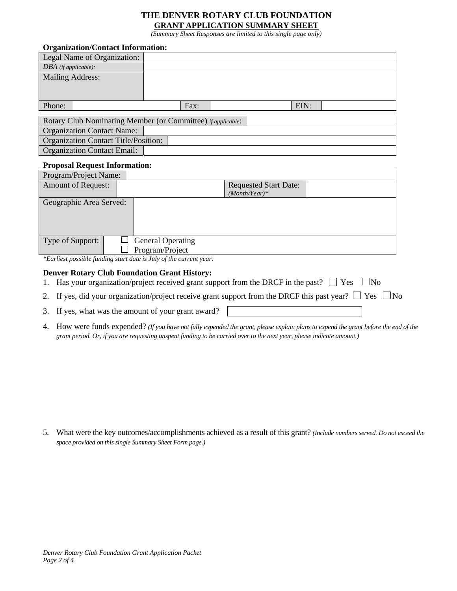### **THE DENVER ROTARY CLUB FOUNDATION GRANT APPLICATION SUMMARY SHEET**

*(Summary Sheet Responses are limited to this single page only)* 

| <b>Organization/Contact Information:</b>                            |      |  |      |  |
|---------------------------------------------------------------------|------|--|------|--|
| Legal Name of Organization:                                         |      |  |      |  |
| $DBA$ (if applicable):                                              |      |  |      |  |
| <b>Mailing Address:</b>                                             |      |  |      |  |
|                                                                     |      |  |      |  |
|                                                                     |      |  |      |  |
| Phone:                                                              | Fax: |  | EIN: |  |
|                                                                     |      |  |      |  |
| Rotary Club Nominating Member (or Committee) <i>if applicable</i> : |      |  |      |  |
| <b>Organization Contact Name:</b>                                   |      |  |      |  |
| <b>Organization Contact Title/Position:</b>                         |      |  |      |  |
| <b>Organization Contact Email:</b>                                  |      |  |      |  |

#### **Proposal Request Information:**

| <b>Requested Start Date:</b> |  |
|------------------------------|--|
| $(Month/Year)*$              |  |
| Geographic Area Served:      |  |
|                              |  |
|                              |  |
|                              |  |
| <b>General Operating</b>     |  |
| Program/Project              |  |
| Program/Project Name:        |  |

*\*Earliest possible funding start date is July of the current year.*

## **Denver Rotary Club Foundation Grant History:**

- 1. Has your organization/project received grant support from the DRCF in the past?  $\Box$  Yes  $\Box$  No
- 2. If yes, did your organization/project receive grant support from the DRCF this past year?  $\Box$  Yes  $\Box$  No
- 3. If yes, what was the amount of your grant award?
- 4. How were funds expended? *(If you have not fully expended the grant, please explain plans to expend the grant before the end of the grant period. Or, if you are requesting unspent funding to be carried over to the next year, please indicate amount.)*

5. What were the key outcomes/accomplishments achieved as a result of this grant? *(Include numbers served. Do not exceed the space provided on this single Summary Sheet Form page.)*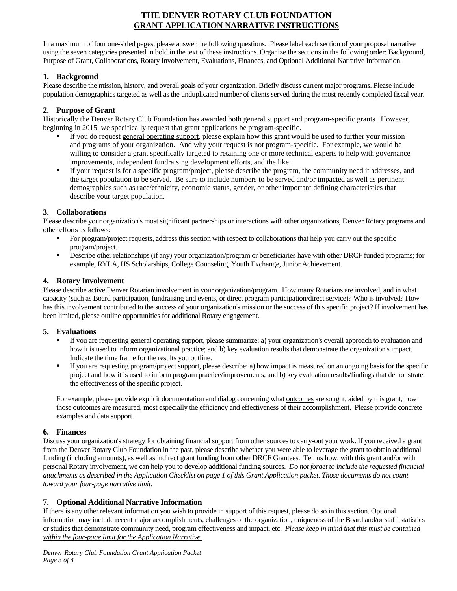# **THE DENVER ROTARY CLUB FOUNDATION GRANT APPLICATION NARRATIVE INSTRUCTIONS**

In a maximum of four one-sided pages, please answer the following questions. Please label each section of your proposal narrative using the seven categories presented in bold in the text of these instructions. Organize the sections in the following order: Background, Purpose of Grant, Collaborations, Rotary Involvement, Evaluations, Finances, and Optional Additional Narrative Information.

### **1. Background**

Please describe the mission, history, and overall goals of your organization. Briefly discuss current major programs. Please include population demographics targeted as well as the unduplicated number of clients served during the most recently completed fiscal year.

### **2. Purpose of Grant**

Historically the Denver Rotary Club Foundation has awarded both general support and program-specific grants. However, beginning in 2015, we specifically request that grant applications be program-specific.

- If you do request general operating support, please explain how this grant would be used to further your mission and programs of your organization. And why your request is not program-specific. For example, we would be willing to consider a grant specifically targeted to retaining one or more technical experts to help with governance improvements, independent fundraising development efforts, and the like.
- If your request is for a specific program/project, please describe the program, the community need it addresses, and the target population to be served. Be sure to include numbers to be served and/or impacted as well as pertinent demographics such as race/ethnicity, economic status, gender, or other important defining characteristics that describe your target population.

## **3. Collaborations**

Please describe your organization's most significant partnerships or interactions with other organizations, Denver Rotary programs and other efforts as follows:

- For program/project requests, address this section with respect to collaborations that help you carry out the specific program/project.
- Describe other relationships (if any) your organization/program or beneficiaries have with other DRCF funded programs; for example, RYLA, HS Scholarships, College Counseling, Youth Exchange, Junior Achievement.

## **4. Rotary Involvement**

Please describe active Denver Rotarian involvement in your organization/program. How many Rotarians are involved, and in what capacity (such as Board participation, fundraising and events, or direct program participation/direct service)? Who is involved? How has this involvement contributed to the success of your organization's mission or the success of this specific project? If involvement has been limited, please outline opportunities for additional Rotary engagement.

### **5. Evaluations**

- If you are requesting general operating support, please summarize: a) your organization's overall approach to evaluation and how it is used to inform organizational practice; and b) key evaluation results that demonstrate the organization's impact. Indicate the time frame for the results you outline.
- If you are requesting program/project support, please describe: a) how impact is measured on an ongoing basis for the specific project and how it is used to inform program practice/improvements; and b) key evaluation results/findings that demonstrate the effectiveness of the specific project.

For example, please provide explicit documentation and dialog concerning what outcomes are sought, aided by this grant, how those outcomes are measured, most especially the efficiency and effectiveness of their accomplishment. Please provide concrete examples and data support.

### **6. Finances**

Discuss your organization's strategy for obtaining financial support from other sources to carry-out your work. If you received a grant from the Denver Rotary Club Foundation in the past, please describe whether you were able to leverage the grant to obtain additional funding (including amounts), as well as indirect grant funding from other DRCF Grantees. Tell us how, with this grant and/or with personal Rotary involvement, we can help you to develop additional funding sources. *Do not forget to include the requested financial attachments as described in the Application Checklist on page 1 of this Grant Application packet. Those documents do not count toward your four-page narrative limit.*

## **7. Optional Additional Narrative Information**

If there is any other relevant information you wish to provide in support of this request, please do so in this section. Optional information may include recent major accomplishments, challenges of the organization, uniqueness of the Board and/or staff, statistics or studies that demonstrate community need, program effectiveness and impact, etc. *Please keep in mind that this must be contained within the four-page limit for the Application Narrative.*